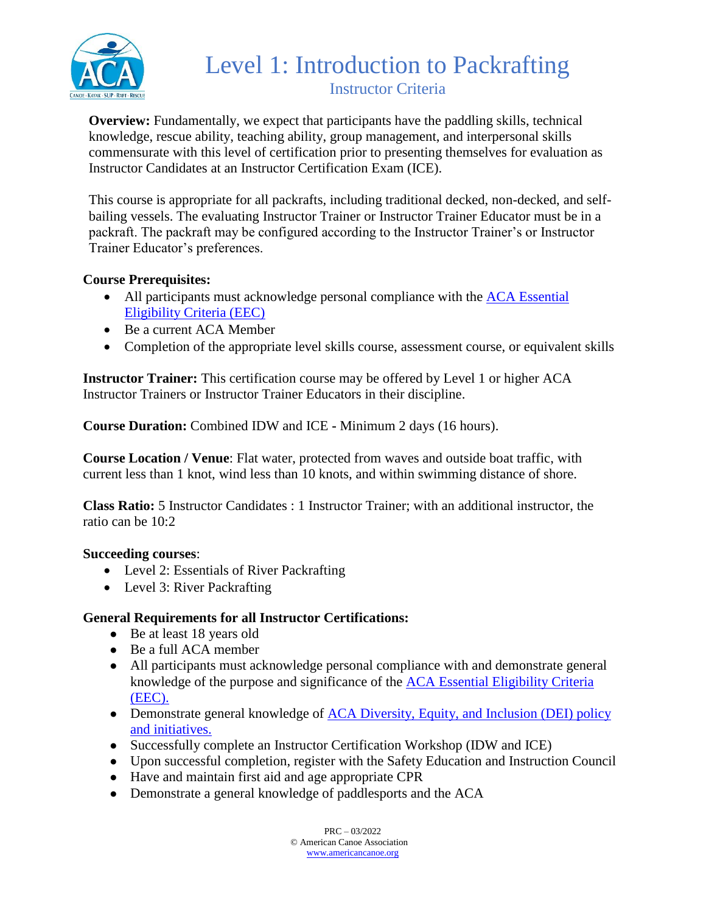

## Level 1: Introduction to Packrafting Instructor Criteria

**Overview:** Fundamentally, we expect that participants have the paddling skills, technical knowledge, rescue ability, teaching ability, group management, and interpersonal skills commensurate with this level of certification prior to presenting themselves for evaluation as Instructor Candidates at an Instructor Certification Exam (ICE).

This course is appropriate for all packrafts, including traditional decked, non-decked, and selfbailing vessels. The evaluating Instructor Trainer or Instructor Trainer Educator must be in a packraft. The packraft may be configured according to the Instructor Trainer's or Instructor Trainer Educator's preferences.

### **Course Prerequisites:**

- All participants must acknowledge personal compliance with the ACA Essential [Eligibility Criteria \(EEC\)](https://americancanoe.org/essential-eligibility-criteria/)
- Be a current ACA Member
- Completion of the appropriate level skills course, assessment course, or equivalent skills

**Instructor Trainer:** This certification course may be offered by Level 1 or higher ACA Instructor Trainers or Instructor Trainer Educators in their discipline.

**Course Duration:** Combined IDW and ICE **-** Minimum 2 days (16 hours).

**Course Location / Venue**: Flat water, protected from waves and outside boat traffic, with current less than 1 knot, wind less than 10 knots, and within swimming distance of shore.

**Class Ratio:** 5 Instructor Candidates : 1 Instructor Trainer; with an additional instructor, the ratio can be 10:2

#### **Succeeding courses**:

- Level 2: Essentials of River Packrafting
- Level 3: River Packrafting

### **General Requirements for all Instructor Certifications:**

- Be at least 18 years old
- Be a full ACA member
- All participants must acknowledge personal compliance with and demonstrate general knowledge of the purpose and significance of the [ACA Essential Eligibility Criteria](https://americancanoe.org/essential-eligibility-criteria/)  [\(EEC\).](https://americancanoe.org/essential-eligibility-criteria/)
- Demonstrate general knowledge of **ACA Diversity**, Equity, and Inclusion (DEI) policy [and initiatives.](https://americancanoe.org/dei/)
- Successfully complete an Instructor Certification Workshop (IDW and ICE)
- Upon successful completion, register with the Safety Education and Instruction Council
- Have and maintain first aid and age appropriate CPR
- Demonstrate a general knowledge of paddlesports and the ACA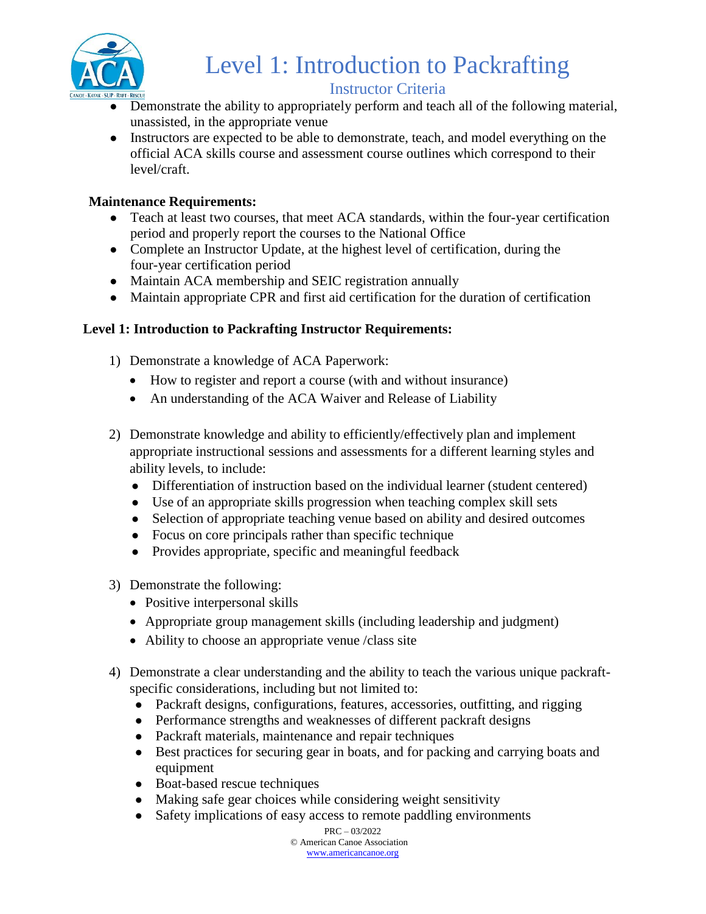

# Level 1: Introduction to Packrafting

### Instructor Criteria

- Demonstrate the ability to appropriately perform and teach all of the following material, unassisted, in the appropriate venue
- Instructors are expected to be able to demonstrate, teach, and model everything on the official ACA skills course and assessment course outlines which correspond to their level/craft.

### **Maintenance Requirements:**

- Teach at least two courses, that meet ACA standards, within the four-year certification period and properly report the courses to the National Office
- Complete an Instructor Update, at the highest level of certification, during the four-year certification period
- Maintain ACA membership and SEIC registration annually
- Maintain appropriate CPR and first aid certification for the duration of certification

### **Level 1: Introduction to Packrafting Instructor Requirements:**

- 1) Demonstrate a knowledge of ACA Paperwork:
	- How to register and report a course (with and without insurance)
	- An understanding of the ACA Waiver and Release of Liability
- 2) Demonstrate knowledge and ability to efficiently/effectively plan and implement appropriate instructional sessions and assessments for a different learning styles and ability levels, to include:
	- Differentiation of instruction based on the individual learner (student centered)
	- Use of an appropriate skills progression when teaching complex skill sets
	- Selection of appropriate teaching venue based on ability and desired outcomes
	- Focus on core principals rather than specific technique
	- Provides appropriate, specific and meaningful feedback
- 3) Demonstrate the following:
	- Positive interpersonal skills
	- Appropriate group management skills (including leadership and judgment)
	- Ability to choose an appropriate venue /class site
- 4) Demonstrate a clear understanding and the ability to teach the various unique packraftspecific considerations, including but not limited to:
	- Packraft designs, configurations, features, accessories, outfitting, and rigging
	- Performance strengths and weaknesses of different packraft designs
	- Packraft materials, maintenance and repair techniques
	- Best practices for securing gear in boats, and for packing and carrying boats and equipment
	- Boat-based rescue techniques
	- Making safe gear choices while considering weight sensitivity
	- Safety implications of easy access to remote paddling environments